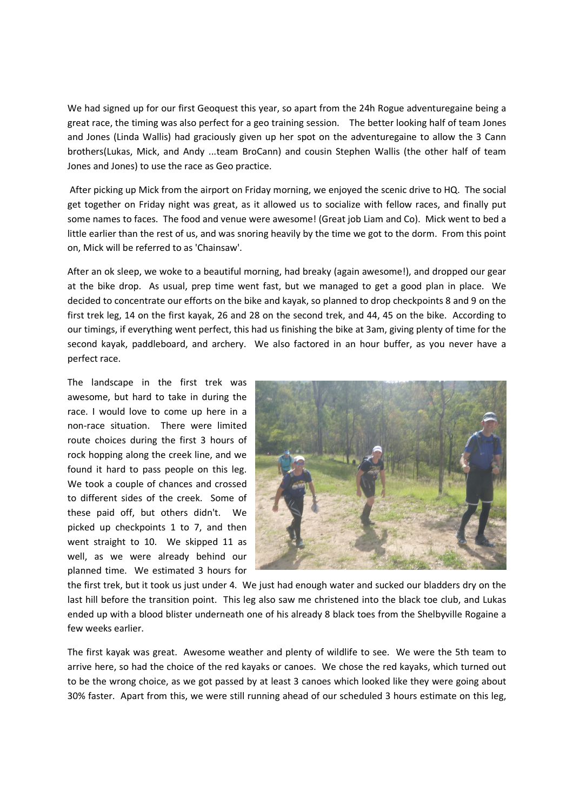We had signed up for our first Geoquest this year, so apart from the 24h Rogue adventuregaine being a great race, the timing was also perfect for a geo training session. The better looking half of team Jones and Jones (Linda Wallis) had graciously given up her spot on the adventuregaine to allow the 3 Cann brothers(Lukas, Mick, and Andy ...team BroCann) and cousin Stephen Wallis (the other half of team Jones and Jones) to use the race as Geo practice.

 After picking up Mick from the airport on Friday morning, we enjoyed the scenic drive to HQ. The social get together on Friday night was great, as it allowed us to socialize with fellow races, and finally put some names to faces. The food and venue were awesome! (Great job Liam and Co). Mick went to bed a little earlier than the rest of us, and was snoring heavily by the time we got to the dorm. From this point on, Mick will be referred to as 'Chainsaw'.

After an ok sleep, we woke to a beautiful morning, had breaky (again awesome!), and dropped our gear at the bike drop. As usual, prep time went fast, but we managed to get a good plan in place. We decided to concentrate our efforts on the bike and kayak, so planned to drop checkpoints 8 and 9 on the first trek leg, 14 on the first kayak, 26 and 28 on the second trek, and 44, 45 on the bike. According to our timings, if everything went perfect, this had us finishing the bike at 3am, giving plenty of time for the second kayak, paddleboard, and archery. We also factored in an hour buffer, as you never have a perfect race.

The landscape in the first trek was awesome, but hard to take in during the race. I would love to come up here in a non-race situation. There were limited route choices during the first 3 hours of rock hopping along the creek line, and we found it hard to pass people on this leg. We took a couple of chances and crossed to different sides of the creek. Some of these paid off, but others didn't. We picked up checkpoints 1 to 7, and then went straight to 10. We skipped 11 as well, as we were already behind our planned time. We estimated 3 hours for



the first trek, but it took us just under 4. We just had enough water and sucked our bladders dry on the last hill before the transition point. This leg also saw me christened into the black toe club, and Lukas ended up with a blood blister underneath one of his already 8 black toes from the Shelbyville Rogaine a few weeks earlier.

The first kayak was great. Awesome weather and plenty of wildlife to see. We were the 5th team to arrive here, so had the choice of the red kayaks or canoes. We chose the red kayaks, which turned out to be the wrong choice, as we got passed by at least 3 canoes which looked like they were going about 30% faster. Apart from this, we were still running ahead of our scheduled 3 hours estimate on this leg,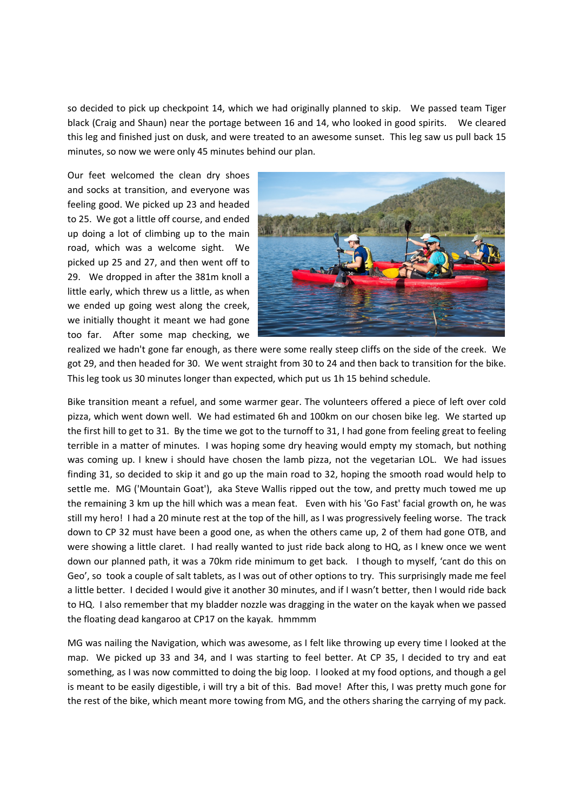so decided to pick up checkpoint 14, which we had originally planned to skip. We passed team Tiger black (Craig and Shaun) near the portage between 16 and 14, who looked in good spirits. We cleared this leg and finished just on dusk, and were treated to an awesome sunset. This leg saw us pull back 15 minutes, so now we were only 45 minutes behind our plan.

Our feet welcomed the clean dry shoes and socks at transition, and everyone was feeling good. We picked up 23 and headed to 25. We got a little off course, and ended up doing a lot of climbing up to the main road, which was a welcome sight. We picked up 25 and 27, and then went off to 29. We dropped in after the 381m knoll a little early, which threw us a little, as when we ended up going west along the creek, we initially thought it meant we had gone too far. After some map checking, we



realized we hadn't gone far enough, as there were some really steep cliffs on the side of the creek. We got 29, and then headed for 30. We went straight from 30 to 24 and then back to transition for the bike. This leg took us 30 minutes longer than expected, which put us 1h 15 behind schedule.

Bike transition meant a refuel, and some warmer gear. The volunteers offered a piece of left over cold pizza, which went down well. We had estimated 6h and 100km on our chosen bike leg. We started up the first hill to get to 31. By the time we got to the turnoff to 31, I had gone from feeling great to feeling terrible in a matter of minutes. I was hoping some dry heaving would empty my stomach, but nothing was coming up. I knew i should have chosen the lamb pizza, not the vegetarian LOL. We had issues finding 31, so decided to skip it and go up the main road to 32, hoping the smooth road would help to settle me. MG ('Mountain Goat'), aka Steve Wallis ripped out the tow, and pretty much towed me up the remaining 3 km up the hill which was a mean feat. Even with his 'Go Fast' facial growth on, he was still my hero! I had a 20 minute rest at the top of the hill, as I was progressively feeling worse. The track down to CP 32 must have been a good one, as when the others came up, 2 of them had gone OTB, and were showing a little claret. I had really wanted to just ride back along to HQ, as I knew once we went down our planned path, it was a 70km ride minimum to get back. I though to myself, 'cant do this on Geo', so took a couple of salt tablets, as I was out of other options to try. This surprisingly made me feel a little better. I decided I would give it another 30 minutes, and if I wasn't better, then I would ride back to HQ. I also remember that my bladder nozzle was dragging in the water on the kayak when we passed the floating dead kangaroo at CP17 on the kayak. hmmmm

MG was nailing the Navigation, which was awesome, as I felt like throwing up every time I looked at the map. We picked up 33 and 34, and I was starting to feel better. At CP 35, I decided to try and eat something, as I was now committed to doing the big loop. I looked at my food options, and though a gel is meant to be easily digestible, i will try a bit of this. Bad move! After this, I was pretty much gone for the rest of the bike, which meant more towing from MG, and the others sharing the carrying of my pack.